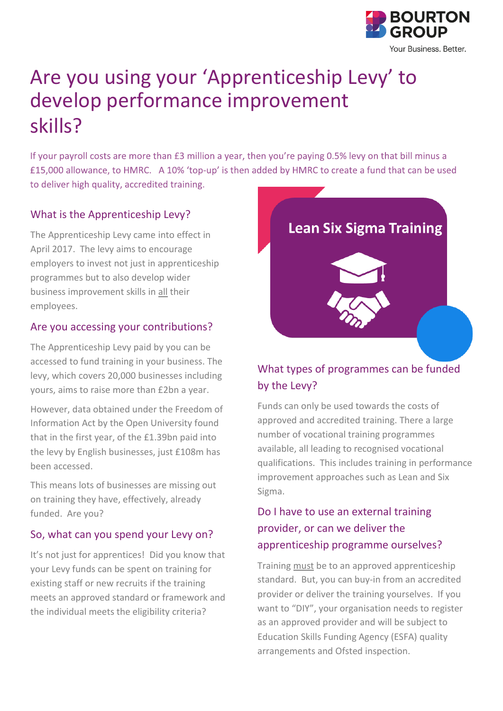

# Are you using your 'Apprenticeship Levy' to develop performance improvement skills?

If your payroll costs are more than £3 million a year, then you're paying 0.5% levy on that bill minus a £15,000 allowance, to HMRC. A 10% 'top-up' is then added by HMRC to create a fund that can be used to deliver high quality, accredited training.

#### What is the Apprenticeship Levy?

The Apprenticeship Levy came into effect in April 2017. The levy aims to encourage employers to invest not just in apprenticeship programmes but to also develop wider business improvement skills in all their employees.

#### Are you accessing your contributions?

The Apprenticeship Levy paid by you can be accessed to fund training in your business. The levy, which covers 20,000 businesses including yours, aims to raise more than £2bn a year.

However, data obtained under the Freedom of Information Act by the Open University found that in the first year, of the £1.39bn paid into the levy by English businesses, just £108m has been accessed.

This means lots of businesses are missing out on training they have, effectively, already funded. Are you?

### So, what can you spend your Levy on?

It's not just for apprentices! Did you know that your Levy funds can be spent on training for existing staff or new recruits if the training meets an approved standard or framework and the individual meets the eligibility criteria?



## What types of programmes can be funded by the Levy?

Funds can only be used towards the costs of approved and accredited training. There a large number of vocational training programmes available, all leading to recognised vocational qualifications. This includes training in performance improvement approaches such as Lean and Six Sigma.

## Do I have to use an external training provider, or can we deliver the apprenticeship programme ourselves?

Training must be to an approved apprenticeship standard. But, you can buy-in from an accredited provider or deliver the training yourselves. If you want to "DIY", your organisation needs to register as an approved provider and will be subject to Education Skills Funding Agency (ESFA) quality arrangements and Ofsted inspection.